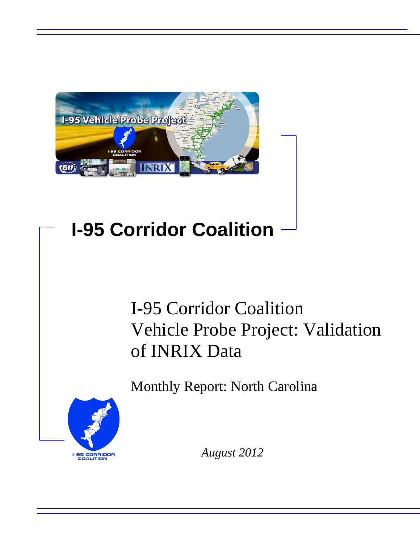

# **I-95 Corridor Coalition**

# I-95 Corridor Coalition Vehicle Probe Project: Validation of INRIX Data

Monthly Report: North Carolina



*August 2012*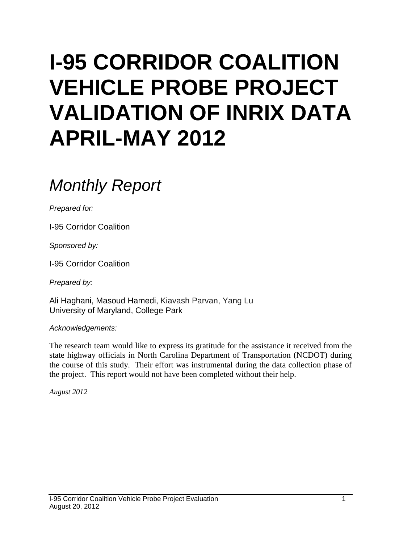# **I-95 CORRIDOR COALITION VEHICLE PROBE PROJECT VALIDATION OF INRIX DATA APRIL-MAY 2012**

# *Monthly Report*

*Prepared for:*

I-95 Corridor Coalition

*Sponsored by:*

I-95 Corridor Coalition

*Prepared by:*

Ali Haghani, Masoud Hamedi, Kiavash Parvan, Yang Lu University of Maryland, College Park

*Acknowledgements:*

The research team would like to express its gratitude for the assistance it received from the state highway officials in North Carolina Department of Transportation (NCDOT) during the course of this study. Their effort was instrumental during the data collection phase of the project. This report would not have been completed without their help.

*August 2012*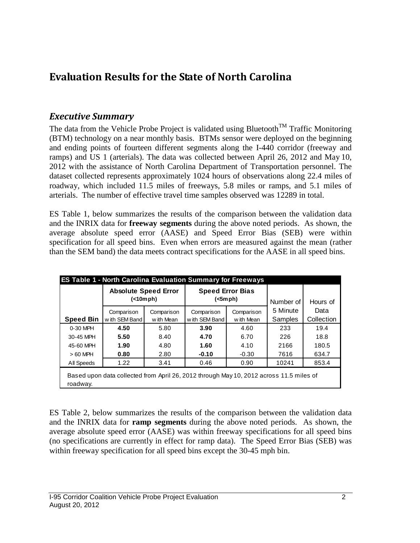## **Evaluation Results for the State of North Carolina**

#### *Executive Summary*

The data from the Vehicle Probe Project is validated using Bluetooth<sup>TM</sup> Traffic Monitoring (BTM) technology on a near monthly basis. BTMs sensor were deployed on the beginning and ending points of fourteen different segments along the I-440 corridor (freeway and ramps) and US 1 (arterials). The data was collected between April 26, 2012 and May 10, 2012 with the assistance of North Carolina Department of Transportation personnel. The dataset collected represents approximately 1024 hours of observations along 22.4 miles of roadway, which included 11.5 miles of freeways, 5.8 miles or ramps, and 5.1 miles of arterials. The number of effective travel time samples observed was 12289 in total.

ES Table 1, below summarizes the results of the comparison between the validation data and the INRIX data for **freeway segments** during the above noted periods. As shown, the average absolute speed error (AASE) and Speed Error Bias (SEB) were within specification for all speed bins. Even when errors are measured against the mean (rather than the SEM band) the data meets contract specifications for the AASE in all speed bins.

|                  | <b>ES Table 1 - North Carolina Evaluation Summary for Freeways</b>                      |            |                                    |            |           |            |  |
|------------------|-----------------------------------------------------------------------------------------|------------|------------------------------------|------------|-----------|------------|--|
|                  | <b>Absolute Speed Error</b><br>(                                                        |            | <b>Speed Error Bias</b><br>(<5mph) |            | Number of | Hours of   |  |
|                  | Comparison                                                                              | Comparison | Comparison                         | Comparison | 5 Minute  | Data       |  |
| <b>Speed Bin</b> | w ith SEM Band                                                                          | w ith Mean | with SEM Band                      | w ith Mean | Samples   | Collection |  |
| 0-30 MPH         | 4.50                                                                                    | 5.80       | 3.90                               | 4.60       | 233       | 19.4       |  |
| 30-45 MPH        | 5.50                                                                                    | 8.40       | 4.70                               | 6.70       | 226       | 18.8       |  |
| 45-60 MPH        | 1.90                                                                                    | 4.80       | 1.60                               | 4.10       | 2166      | 180.5      |  |
| $>60$ MPH        | 0.80                                                                                    | 2.80       | $-0.10$                            | $-0.30$    | 7616      | 634.7      |  |
| All Speeds       | 1.22                                                                                    | 3.41       | 0.46                               | 0.90       | 10241     | 853.4      |  |
| roadway.         | Based upon data collected from April 26, 2012 through May 10, 2012 across 11.5 miles of |            |                                    |            |           |            |  |

ES Table 2, below summarizes the results of the comparison between the validation data and the INRIX data for **ramp segments** during the above noted periods. As shown, the average absolute speed error (AASE) was within freeway specifications for all speed bins (no specifications are currently in effect for ramp data). The Speed Error Bias (SEB) was within freeway specification for all speed bins except the 30-45 mph bin.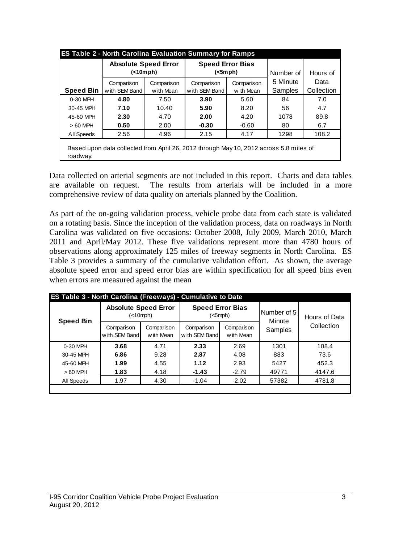|                  | <b>ES Table 2 - North Carolina Evaluation Summary for Ramps</b>                        |            |                         |            |           |            |
|------------------|----------------------------------------------------------------------------------------|------------|-------------------------|------------|-----------|------------|
|                  | <b>Absolute Speed Error</b>                                                            |            | <b>Speed Error Bias</b> |            |           |            |
|                  | (                                                                                      |            | (<5mph)                 |            | Number of | Hours of   |
|                  | Comparison                                                                             | Comparison | Comparison              | Comparison | 5 Minute  | Data       |
| <b>Speed Bin</b> | w ith SEM Band                                                                         | w ith Mean | with SEM Band           | w ith Mean | Samples   | Collection |
| 0-30 MPH         | 4.80                                                                                   | 7.50       | 3.90                    | 5.60       | 84        | 7.0        |
| 30-45 MPH        | 7.10                                                                                   | 10.40      | 5.90                    | 8.20       | 56        | 4.7        |
| 45-60 MPH        | 2.30                                                                                   | 4.70       | 2.00<br>4.20            |            | 1078      | 89.8       |
| $>60$ MPH        | 0.50                                                                                   | 2.00       | $-0.30$                 | $-0.60$    | 80        | 6.7        |
| All Speeds       | 2.56                                                                                   | 4.96       | 2.15                    | 4.17       | 1298      | 108.2      |
|                  | Based upon data collected from April 26, 2012 through May 10, 2012 across 5.8 miles of |            |                         |            |           |            |
| roadway.         |                                                                                        |            |                         |            |           |            |

Data collected on arterial segments are not included in this report. Charts and data tables are available on request. The results from arterials will be included in a more comprehensive review of data quality on arterials planned by the Coalition.

As part of the on-going validation process, vehicle probe data from each state is validated on a rotating basis. Since the inception of the validation process, data on roadways in North Carolina was validated on five occasions: October 2008, July 2009, March 2010, March 2011 and April/May 2012. These five validations represent more than 4780 hours of observations along approximately 125 miles of freeway segments in North Carolina. ES Table 3 provides a summary of the cumulative validation effort. As shown, the average absolute speed error and speed error bias are within specification for all speed bins even when errors are measured against the mean

| <b>Speed Bin</b> | <b>Absolute Speed Error</b><br>(<10mph) |                          | <b>Speed Error Bias</b><br>(<5mph) |                          | Number of 5<br>Minute | Hours of Data<br>Collection |  |
|------------------|-----------------------------------------|--------------------------|------------------------------------|--------------------------|-----------------------|-----------------------------|--|
|                  | Comparison<br>w ith SEM Band            | Comparison<br>w ith Mean | Comparison<br>with SEM Band        | Comparison<br>w ith Mean | Samples               |                             |  |
| 0-30 MPH         | 3.68                                    | 4.71                     | 2.33                               | 2.69                     | 1301                  | 108.4                       |  |
| 30-45 MPH        | 6.86                                    | 9.28                     | 2.87                               | 4.08                     | 883                   | 73.6                        |  |
| 45-60 MPH        | 1.99                                    | 4.55                     | 1.12                               | 2.93                     | 5427                  | 452.3                       |  |
| $>60$ MPH        | 1.83                                    | 4.18                     | $-1.43$                            | $-2.79$                  | 49771                 | 4147.6                      |  |
| All Speeds       | 1.97                                    | 4.30                     |                                    | $-1.04$<br>$-2.02$       |                       | 4781.8                      |  |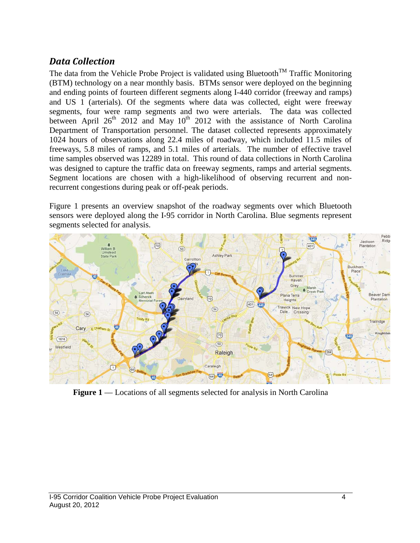### *Data Collection*

The data from the Vehicle Probe Project is validated using Bluetooth<sup>TM</sup> Traffic Monitoring (BTM) technology on a near monthly basis. BTMs sensor were deployed on the beginning and ending points of fourteen different segments along I-440 corridor (freeway and ramps) and US 1 (arterials). Of the segments where data was collected, eight were freeway segments, four were ramp segments and two were arterials. The data was collected between April  $26<sup>th</sup>$  2012 and May 10<sup>th</sup> 2012 with the assistance of North Carolina Department of Transportation personnel. The dataset collected represents approximately 1024 hours of observations along 22.4 miles of roadway, which included 11.5 miles of freeways, 5.8 miles of ramps, and 5.1 miles of arterials. The number of effective travel time samples observed was 12289 in total. This round of data collections in North Carolina was designed to capture the traffic data on freeway segments, ramps and arterial segments. Segment locations are chosen with a high-likelihood of observing recurrent and nonrecurrent congestions during peak or off-peak periods.

Figure 1 presents an overview snapshot of the roadway segments over which Bluetooth sensors were deployed along the I-95 corridor in North Carolina. Blue segments represent segments selected for analysis.



**Figure 1** — Locations of all segments selected for analysis in North Carolina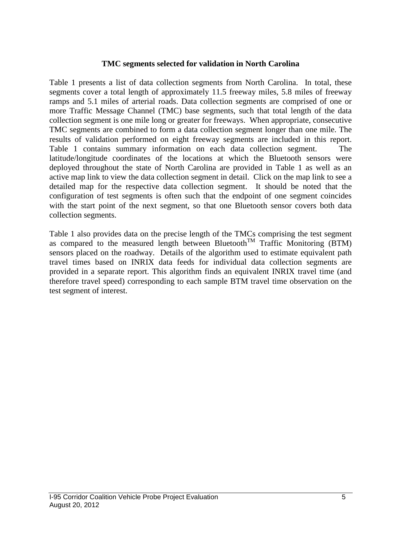#### **TMC segments selected for validation in North Carolina**

Table 1 presents a list of data collection segments from North Carolina. In total, these segments cover a total length of approximately 11.5 freeway miles, 5.8 miles of freeway ramps and 5.1 miles of arterial roads. Data collection segments are comprised of one or more Traffic Message Channel (TMC) base segments, such that total length of the data collection segment is one mile long or greater for freeways. When appropriate, consecutive TMC segments are combined to form a data collection segment longer than one mile. The results of validation performed on eight freeway segments are included in this report. Table 1 contains summary information on each data collection segment. The latitude/longitude coordinates of the locations at which the Bluetooth sensors were deployed throughout the state of North Carolina are provided in Table 1 as well as an active map link to view the data collection segment in detail. Click on the map link to see a detailed map for the respective data collection segment. It should be noted that the configuration of test segments is often such that the endpoint of one segment coincides with the start point of the next segment, so that one Bluetooth sensor covers both data collection segments.

Table 1 also provides data on the precise length of the TMCs comprising the test segment as compared to the measured length between Bluetooth<sup>TM</sup> Traffic Monitoring (BTM) sensors placed on the roadway. Details of the algorithm used to estimate equivalent path travel times based on INRIX data feeds for individual data collection segments are provided in a separate report. This algorithm finds an equivalent INRIX travel time (and therefore travel speed) corresponding to each sample BTM travel time observation on the test segment of interest.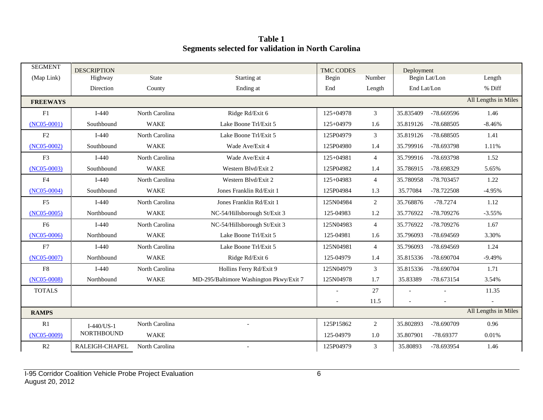**Table 1 Segments selected for validation in North Carolina**

| <b>SEGMENT</b>  | <b>DESCRIPTION</b> |                |                                         | <b>TMC CODES</b> |                | Deployment               |            |                      |
|-----------------|--------------------|----------------|-----------------------------------------|------------------|----------------|--------------------------|------------|----------------------|
| (Map Link)      | Highway            | <b>State</b>   | Starting at                             | Begin            | Number         | Begin Lat/Lon            |            | Length               |
|                 | Direction          | County         | Ending at                               | End              | Length         | End Lat/Lon              |            | % Diff               |
| <b>FREEWAYS</b> |                    |                |                                         |                  |                |                          |            | All Lengths in Miles |
| F1              | $I-440$            | North Carolina | Ridge Rd/Exit 6                         | 125+04978        | 3              | 35.835409                | -78.669596 | 1.46                 |
| $(NC05-0001)$   | Southbound         | <b>WAKE</b>    | Lake Boone Trl/Exit 5                   | $125+04979$      | 1.6            | 35.819126                | -78.688505 | $-8.46%$             |
| F2              | $I-440$            | North Carolina | Lake Boone Trl/Exit 5                   | 125P04979        | 3              | 35.819126                | -78.688505 | 1.41                 |
| $(NC05-0002)$   | Southbound         | <b>WAKE</b>    | Wade Ave/Exit 4                         | 125P04980        | 1.4            | 35.799916                | -78.693798 | 1.11%                |
| F3              | $I-440$            | North Carolina | Wade Ave/Exit 4                         | $125+04981$      | $\overline{4}$ | 35.799916                | -78.693798 | 1.52                 |
| $(NC05-0003)$   | Southbound         | <b>WAKE</b>    | Western Blvd/Exit 2                     | 125P04982        | 1.4            | 35.786915                | -78.698329 | 5.65%                |
| F <sub>4</sub>  | $I-440$            | North Carolina | Western Blvd/Exit 2                     | $125+04983$      | $\overline{4}$ | 35.780958                | -78.703457 | 1.22                 |
| $(NC05-0004)$   | Southbound         | <b>WAKE</b>    | Jones Franklin Rd/Exit 1                | 125P04984        | 1.3            | 35.77084                 | -78.722508 | $-4.95%$             |
| F <sub>5</sub>  | $I-440$            | North Carolina | Jones Franklin Rd/Exit 1                | 125N04984        | 2              | 35.768876                | $-78.7274$ | 1.12                 |
| $(NC05-0005)$   | Northbound         | <b>WAKE</b>    | NC-54/Hillsborough St/Exit 3            | 125-04983        | 1.2            | 35.776922                | -78.709276 | $-3.55%$             |
| F <sub>6</sub>  | $I-440$            | North Carolina | NC-54/Hillsborough St/Exit 3            | 125N04983        | $\overline{4}$ | 35.776922                | -78.709276 | 1.67                 |
| $(NC05-0006)$   | Northbound         | <b>WAKE</b>    | Lake Boone Trl/Exit 5                   | 125-04981        | 1.6            | 35.796093                | -78.694569 | 3.30%                |
| F7              | $I-440$            | North Carolina | Lake Boone Trl/Exit 5                   | 125N04981        | $\overline{4}$ | 35.796093                | -78.694569 | 1.24                 |
| $(NC05-0007)$   | Northbound         | <b>WAKE</b>    | Ridge Rd/Exit 6                         | 125-04979        | 1.4            | 35.815336                | -78.690704 | $-9.49%$             |
| F8              | $I-440$            | North Carolina | Hollins Ferry Rd/Exit 9                 | 125N04979        | 3              | 35.815336                | -78.690704 | 1.71                 |
| $(NC05-0008)$   | Northbound         | <b>WAKE</b>    | MD-295/Baltimore Washington Pkwy/Exit 7 | 125N04978        | 1.7            | 35.83389                 | -78.673154 | 3.54%                |
| <b>TOTALS</b>   |                    |                |                                         |                  | 27             |                          |            | 11.35                |
|                 |                    |                |                                         |                  | 11.5           | $\overline{\phantom{a}}$ |            |                      |
| <b>RAMPS</b>    |                    |                |                                         |                  |                |                          |            | All Lengths in Miles |
| R1              | $I-440/US-1$       | North Carolina |                                         | 125P15862        | 2              | 35.802893                | -78.690709 | 0.96                 |
| $(NC05-0009)$   | <b>NORTHBOUND</b>  | <b>WAKE</b>    |                                         | 125-04979        | 1.0            | 35.807901                | -78.69377  | 0.01%                |
| R <sub>2</sub>  | RALEIGH-CHAPEL     | North Carolina | $\overline{\phantom{a}}$                | 125P04979        | 3              | 35.80893                 | -78.693954 | 1.46                 |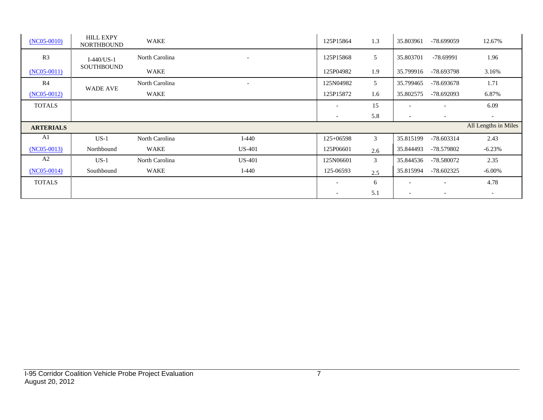| $(NC05-0010)$    | <b>HILL EXPY</b><br><b>NORTHBOUND</b> | WAKE           |                          | 125P15864                | 1.3            | 35.803961                | -78.699059               | 12.67%                   |
|------------------|---------------------------------------|----------------|--------------------------|--------------------------|----------------|--------------------------|--------------------------|--------------------------|
| R <sub>3</sub>   | $I-440/US-1$                          | North Carolina | $\overline{\phantom{a}}$ | 125P15868                | 5              | 35.803701                | $-78.69991$              | 1.96                     |
| $(NC05-0011)$    | <b>SOUTHBOUND</b>                     | WAKE           |                          | 125P04982                | 1.9            | 35.799916                | -78.693798               | 3.16%                    |
| R4               |                                       | North Carolina | $\overline{\phantom{a}}$ | 125N04982                | 5              | 35.799465                | -78.693678               | 1.71                     |
| $(NC05-0012)$    | <b>WADE AVE</b>                       | WAKE           |                          | 125P15872                | 1.6            | 35.802575                | -78.692093               | 6.87%                    |
| <b>TOTALS</b>    |                                       |                |                          |                          | 15             |                          |                          | 6.09                     |
|                  |                                       |                |                          |                          |                |                          |                          |                          |
|                  |                                       |                |                          | $\overline{\phantom{a}}$ | 5.8            | $\overline{\phantom{a}}$ | $\overline{\phantom{a}}$ | $\overline{\phantom{a}}$ |
| <b>ARTERIALS</b> |                                       |                |                          |                          |                |                          |                          | All Lengths in Miles     |
| A1               | $US-1$                                | North Carolina | $I-440$                  | $125+06598$              | $\mathfrak{Z}$ | 35.815199                | -78.603314               | 2.43                     |
| $(NC05-0013)$    | Northbound                            | WAKE           | <b>US-401</b>            | 125P06601                | 2.6            | 35.844493                | -78.579802               | $-6.23%$                 |
| A2               | $US-1$                                | North Carolina | <b>US-401</b>            | 125N06601                | 3              | 35.844536                | -78.580072               | 2.35                     |
| $(NC05-0014)$    | Southbound                            | WAKE           | $I-440$                  | 125-06593                | 2.5            | 35.815994                | $-78.602325$             | $-6.00\%$                |
| <b>TOTALS</b>    |                                       |                |                          |                          | 6              |                          | $\overline{\phantom{a}}$ | 4.78                     |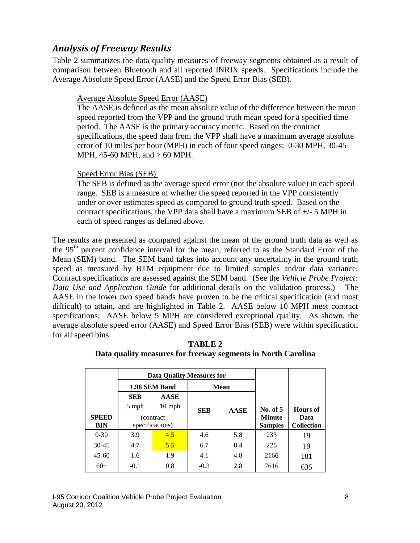### *Analysis of Freeway Results*

Table 2 summarizes the data quality measures of freeway segments obtained as a result of comparison between Bluetooth and all reported INRIX speeds. Specifications include the Average Absolute Speed Error (AASE) and the Speed Error Bias (SEB).

#### Average Absolute Speed Error (AASE)

The AASE is defined as the mean absolute value of the difference between the mean speed reported from the VPP and the ground truth mean speed for a specified time period. The AASE is the primary accuracy metric. Based on the contract specifications, the speed data from the VPP shall have a maximum average absolute error of 10 miles per hour (MPH) in each of four speed ranges: 0-30 MPH, 30-45 MPH, 45-60 MPH, and > 60 MPH.

#### Speed Error Bias (SEB)

The SEB is defined as the average speed error (not the absolute value) in each speed range. SEB is a measure of whether the speed reported in the VPP consistently under or over estimates speed as compared to ground truth speed. Based on the contract specifications, the VPP data shall have a maximum SEB of +/- 5 MPH in each of speed ranges as defined above.

The results are presented as compared against the mean of the ground truth data as well as the 95<sup>th</sup> percent confidence interval for the mean, referred to as the Standard Error of the Mean (SEM) band. The SEM band takes into account any uncertainty in the ground truth speed as measured by BTM equipment due to limited samples and/or data variance. Contract specifications are assessed against the SEM band. (See the *Vehicle Probe Project: Data Use and Application Guide* for additional details on the validation process.) The AASE in the lower two speed bands have proven to be the critical specification (and most difficult) to attain, and are highlighted in Table 2. AASE below 10 MPH meet contract specifications. AASE below 5 MPH are considered exceptional quality. As shown, the average absolute speed error (AASE) and Speed Error Bias (SEB) were within specification for all speed bins.

| <b>TABLE 2</b>                                               |
|--------------------------------------------------------------|
| Data quality measures for freeway segments in North Carolina |

|              |                   | <b>Data Quality Measures for</b> |            |             |                |                   |
|--------------|-------------------|----------------------------------|------------|-------------|----------------|-------------------|
|              |                   | 1.96 SEM Band                    |            | <b>Mean</b> |                |                   |
|              | <b>SEB</b>        | <b>AASE</b>                      |            |             |                |                   |
|              | $10$ mph<br>5 mph |                                  | <b>SEB</b> | <b>AASE</b> | No. of 5       | Hours of          |
| <b>SPEED</b> |                   | (contract)                       |            |             | <b>Minute</b>  | Data              |
| <b>BIN</b>   |                   | specifications)                  |            |             | <b>Samples</b> | <b>Collection</b> |
| $0 - 30$     | 3.9               | 4.5                              | 4.6        | 5.8         | 233            | 19                |
| $30 - 45$    | 4.7               | 5.5                              | 6.7        | 8.4         | 226            | 19                |
| $45-60$      | 1.9<br>1.6        |                                  | 4.1        | 4.8         | 2166           | 181               |
| $60+$        | $-0.1$            | 0.8                              | $-0.3$     | 2.8         | 7616           | 635               |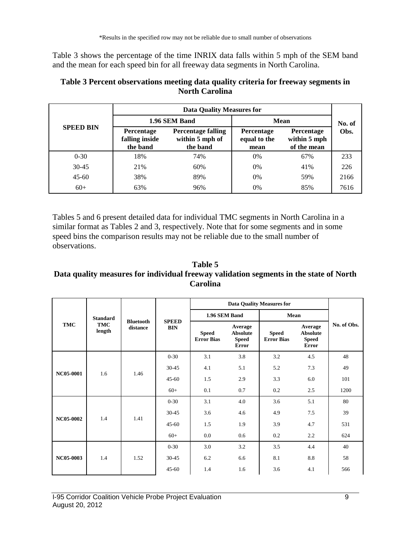Table 3 shows the percentage of the time INRIX data falls within 5 mph of the SEM band and the mean for each speed bin for all freeway data segments in North Carolina.

|                  | Data Quality Measures for                       |                                                          |                                           |                                                  |      |  |  |  |
|------------------|-------------------------------------------------|----------------------------------------------------------|-------------------------------------------|--------------------------------------------------|------|--|--|--|
| <b>SPEED BIN</b> |                                                 | 1.96 SEM Band                                            | <b>Mean</b>                               | No. of                                           |      |  |  |  |
|                  | <b>Percentage</b><br>falling inside<br>the band | <b>Percentage falling</b><br>within 5 mph of<br>the band | <b>Percentage</b><br>equal to the<br>mean | <b>Percentage</b><br>within 5 mph<br>of the mean | Obs. |  |  |  |
| $0 - 30$         | 18%                                             | 74%                                                      | 0%                                        | 67%                                              | 233  |  |  |  |
| $30 - 45$        | 21%                                             | 60%                                                      | 0%                                        | 41%                                              | 226  |  |  |  |
| $45 - 60$        | 38%                                             | 89%                                                      | 0%                                        | 59%                                              | 2166 |  |  |  |
| $60+$            | 63%                                             | 96%                                                      | 0%                                        | 85%                                              | 7616 |  |  |  |

#### **Table 3 Percent observations meeting data quality criteria for freeway segments in North Carolina**

Tables 5 and 6 present detailed data for individual TMC segments in North Carolina in a similar format as Tables 2 and 3, respectively. Note that for some segments and in some speed bins the comparison results may not be reliable due to the small number of observations.

#### **Table 5 Data quality measures for individual freeway validation segments in the state of North Carolina**

|            |                      | <b>Bluetooth</b><br>distance |                            |                                   |                                                            |                                   |                                                            |             |
|------------|----------------------|------------------------------|----------------------------|-----------------------------------|------------------------------------------------------------|-----------------------------------|------------------------------------------------------------|-------------|
| <b>TMC</b> | <b>Standard</b>      |                              |                            | 1.96 SEM Band                     |                                                            | Mean                              |                                                            |             |
|            | <b>TMC</b><br>length |                              | <b>SPEED</b><br><b>BIN</b> | <b>Speed</b><br><b>Error Bias</b> | Average<br><b>Absolute</b><br><b>Speed</b><br><b>Error</b> | <b>Speed</b><br><b>Error Bias</b> | Average<br><b>Absolute</b><br><b>Speed</b><br><b>Error</b> | No. of Obs. |
|            |                      |                              | $0 - 30$                   | 3.1                               | 3.8                                                        | 3.2                               | 4.5                                                        | 48          |
|            | 1.6                  | 1.46                         | $30 - 45$                  | 4.1                               | 5.1                                                        | 5.2                               | 7.3                                                        | 49          |
| NC05-0001  |                      |                              | $45 - 60$                  | 1.5                               | 2.9                                                        | 3.3                               | 6.0                                                        | 101         |
|            |                      |                              | $60+$                      | 0.1                               | 0.7                                                        | 0.2                               | 2.5                                                        | 1200        |
|            |                      |                              | $0 - 30$                   | 3.1                               | 4.0                                                        | 3.6                               | 5.1                                                        | 80          |
|            |                      |                              | $30 - 45$                  | 3.6                               | 4.6                                                        | 4.9                               | 7.5                                                        | 39          |
| NC05-0002  | 1.4                  | 1.41                         | $45 - 60$                  | 1.5                               | 1.9                                                        | 3.9                               | 4.7                                                        | 531         |
|            |                      |                              | $60+$                      | 0.0                               | 0.6                                                        | 0.2                               | 2.2                                                        | 624         |
|            |                      |                              | $0 - 30$                   | 3.0                               | 3.2                                                        | 3.5                               | 4.4                                                        | 40          |
| NC05-0003  | 1.4                  | 1.52                         | $30 - 45$                  | 6.2                               | 6.6                                                        | 8.1                               | 8.8                                                        | 58          |
|            |                      |                              | $45 - 60$                  | 1.4                               | 1.6                                                        | 3.6                               | 4.1                                                        | 566         |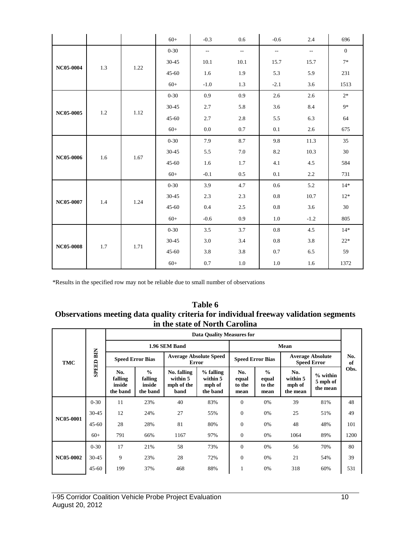|                  |         |      | $60+$     | $-0.3$                    | 0.6                      | $-0.6$                    | 2.4                      | 696            |
|------------------|---------|------|-----------|---------------------------|--------------------------|---------------------------|--------------------------|----------------|
|                  |         |      | $0 - 30$  | $\mathbb{L}^{\mathbb{L}}$ | $\overline{\phantom{a}}$ | $\mathbb{L}^{\mathbb{L}}$ | $\overline{\phantom{a}}$ | $\overline{0}$ |
|                  |         |      | $30 - 45$ | 10.1                      | 10.1                     | 15.7                      | 15.7                     | $7*$           |
| NC05-0004        | 1.3     | 1.22 | $45 - 60$ | 1.6                       | 1.9                      | 5.3                       | 5.9                      | 231            |
|                  |         |      | $60+$     | $-1.0$                    | 1.3                      | $-2.1$                    | 3.6                      | 1513           |
|                  |         |      | $0 - 30$  | $0.9\,$                   | 0.9                      | 2.6                       | 2.6                      | $2*$           |
|                  |         |      | $30 - 45$ | 2.7                       | 5.8                      | 3.6                       | 8.4                      | $9*$           |
| NC05-0005        | 1.2     | 1.12 | $45 - 60$ | 2.7                       | $2.8\,$                  | 5.5                       | 6.3                      | 64             |
|                  |         |      | $60+$     | 0.0                       | $0.7\,$                  | $0.1\,$                   | 2.6                      | 675            |
|                  |         | 1.67 | $0 - 30$  | 7.9                       | 8.7                      | 9.8                       | 11.3                     | 35             |
| NC05-0006        |         |      | $30 - 45$ | 5.5                       | 7.0                      | 8.2                       | 10.3                     | $30\,$         |
|                  | $1.6\,$ |      | $45 - 60$ | 1.6                       | 1.7                      | 4.1                       | 4.5                      | 584            |
|                  |         |      | $60+$     | $-0.1$                    | $0.5\,$                  | $0.1\,$                   | 2.2                      | 731            |
|                  |         |      | $0 - 30$  | 3.9                       | 4.7                      | $0.6\,$                   | 5.2                      | $14*$          |
| NC05-0007        | 1.4     | 1.24 | $30 - 45$ | 2.3                       | $2.3\,$                  | $0.8\,$                   | 10.7                     | $12*$          |
|                  |         |      | $45 - 60$ | 0.4                       | 2.5                      | $0.8\,$                   | 3.6                      | 30             |
|                  |         |      | $60+$     | $-0.6$                    | 0.9                      | $1.0\,$                   | $-1.2$                   | 805            |
|                  |         |      | $0 - 30$  | 3.5                       | 3.7                      | 0.8                       | 4.5                      | $14*$          |
| <b>NC05-0008</b> | $1.7\,$ | 1.71 | $30 - 45$ | $3.0\,$                   | 3.4                      | $0.8\,$                   | 3.8                      | $22*$          |
|                  |         |      | $45 - 60$ | 3.8                       | 3.8                      | 0.7                       | 6.5                      | 59             |
|                  |         |      | $60+$     | $0.7\,$                   | $1.0\,$                  | 1.0                       | 1.6                      | 1372           |

#### **Table 6 Observations meeting data quality criteria for individual freeway validation segments in the state of North Carolina**

|                  |                  |                                      |                                                |                                               | <b>Data Quality Measures for</b>              |                                |                                          |                                               |                                    |           |
|------------------|------------------|--------------------------------------|------------------------------------------------|-----------------------------------------------|-----------------------------------------------|--------------------------------|------------------------------------------|-----------------------------------------------|------------------------------------|-----------|
|                  |                  |                                      |                                                | 1.96 SEM Band                                 |                                               |                                |                                          |                                               |                                    |           |
| <b>TMC</b>       | <b>SPEED BIN</b> | <b>Speed Error Bias</b>              |                                                | <b>Average Absolute Speed</b><br>Error        |                                               | <b>Speed Error Bias</b>        |                                          | <b>Average Absolute</b><br><b>Speed Error</b> |                                    | No.<br>of |
|                  |                  | No.<br>falling<br>inside<br>the band | $\frac{0}{0}$<br>falling<br>inside<br>the band | No. falling<br>within 5<br>mph of the<br>band | $%$ falling<br>within 5<br>mph of<br>the band | No.<br>equal<br>to the<br>mean | $\frac{0}{0}$<br>equal<br>to the<br>mean | No.<br>within 5<br>mph of<br>the mean         | $%$ within<br>5 mph of<br>the mean | Obs.      |
|                  | $0 - 30$         | 11                                   | 23%                                            | 40                                            | 83%                                           | $\mathbf{0}$                   | 0%                                       | 39                                            | 81%                                | 48        |
| <b>NC05-0001</b> | $30 - 45$        | 12                                   | 24%                                            | 27                                            | 55%                                           | $\overline{0}$                 | 0%                                       | 25                                            | 51%                                | 49        |
|                  | $45 - 60$        | 28                                   | 28%                                            | 81                                            | 80%                                           | $\mathbf{0}$                   | 0%                                       | 48                                            | 48%                                | 101       |
|                  | $60+$            | 791                                  | 66%                                            | 1167                                          | 97%                                           | $\mathbf{0}$                   | 0%                                       | 1064                                          | 89%                                | 1200      |
|                  | $0 - 30$         | 17                                   | 21%                                            | 58                                            | 73%                                           | $\Omega$                       | 0%                                       | 56                                            | 70%                                | 80        |
| NC05-0002        | $30 - 45$        | 9                                    | 23%                                            | 28                                            | 72%                                           | $\overline{0}$                 | 0%                                       | 21                                            | 54%                                | 39        |
|                  | $45 - 60$        | 199                                  | 37%                                            | 468                                           | 88%                                           | -1                             | 0%                                       | 318                                           | 60%                                | 531       |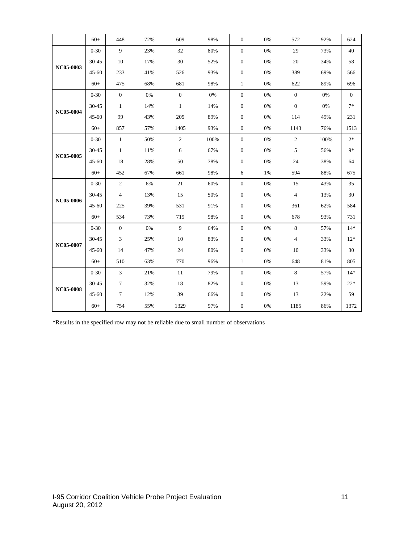|                  | $60+$     | 448            | 72% | 609            | 98%  | $\boldsymbol{0}$ | 0%    | 572            | 92%  | 624   |
|------------------|-----------|----------------|-----|----------------|------|------------------|-------|----------------|------|-------|
|                  | $0 - 30$  | 9              | 23% | 32             | 80%  | $\mathbf{0}$     | 0%    | 29             | 73%  | 40    |
|                  | 30-45     | 10             | 17% | 30             | 52%  | $\boldsymbol{0}$ | 0%    | 20             | 34%  | 58    |
| NC05-0003        | $45 - 60$ | 233            | 41% | 526            | 93%  | $\boldsymbol{0}$ | 0%    | 389            | 69%  | 566   |
|                  | $60+$     | 475            | 68% | 681            | 98%  | $\mathbf{1}$     | 0%    | 622            | 89%  | 696   |
|                  | $0 - 30$  | $\mathbf{0}$   | 0%  | $\overline{0}$ | 0%   | $\mathbf{0}$     | 0%    | $\overline{0}$ | 0%   | 0     |
| <b>NC05-0004</b> | 30-45     | 1              | 14% | $\mathbf{1}$   | 14%  | $\boldsymbol{0}$ | $0\%$ | $\overline{0}$ | 0%   | $7*$  |
|                  | $45 - 60$ | 99             | 43% | 205            | 89%  | $\boldsymbol{0}$ | $0\%$ | 114            | 49%  | 231   |
|                  | $60+$     | 857            | 57% | 1405           | 93%  | $\mathbf{0}$     | 0%    | 1143           | 76%  | 1513  |
|                  | $0 - 30$  | $\mathbf{1}$   | 50% | $\overline{2}$ | 100% | $\mathbf{0}$     | 0%    | $\overline{2}$ | 100% | $2*$  |
| <b>NC05-0005</b> | 30-45     | $\mathbf{1}$   | 11% | 6              | 67%  | $\boldsymbol{0}$ | 0%    | 5              | 56%  | $9*$  |
|                  | $45 - 60$ | 18             | 28% | 50             | 78%  | $\boldsymbol{0}$ | $0\%$ | 24             | 38%  | 64    |
|                  | $60+$     | 452            | 67% | 661            | 98%  | 6                | 1%    | 594            | 88%  | 675   |
|                  | $0 - 30$  | $\overline{2}$ | 6%  | 21             | 60%  | $\boldsymbol{0}$ | $0\%$ | 15             | 43%  | 35    |
| NC05-0006        | 30-45     | $\overline{4}$ | 13% | 15             | 50%  | $\boldsymbol{0}$ | $0\%$ | $\overline{4}$ | 13%  | 30    |
|                  | $45 - 60$ | 225            | 39% | 531            | 91%  | $\boldsymbol{0}$ | 0%    | 361            | 62%  | 584   |
|                  | $60+$     | 534            | 73% | 719            | 98%  | $\mathbf{0}$     | 0%    | 678            | 93%  | 731   |
|                  | $0 - 30$  | $\mathbf{0}$   | 0%  | 9              | 64%  | $\mathbf{0}$     | $0\%$ | $\,8\,$        | 57%  | $14*$ |
| NC05-0007        | $30 - 45$ | 3              | 25% | $10\,$         | 83%  | $\boldsymbol{0}$ | $0\%$ | $\sqrt{4}$     | 33%  | $12*$ |
|                  | $45 - 60$ | 14             | 47% | 24             | 80%  | $\boldsymbol{0}$ | 0%    | 10             | 33%  | 30    |
|                  | $60+$     | 510            | 63% | 770            | 96%  | $\mathbf{1}$     | 0%    | 648            | 81%  | 805   |
|                  | $0 - 30$  | $\mathfrak{Z}$ | 21% | 11             | 79%  | $\boldsymbol{0}$ | 0%    | $\,8\,$        | 57%  | $14*$ |
| <b>NC05-0008</b> | 30-45     | $\tau$         | 32% | 18             | 82%  | $\boldsymbol{0}$ | 0%    | 13             | 59%  | $22*$ |
|                  | $45 - 60$ | $\tau$         | 12% | 39             | 66%  | $\boldsymbol{0}$ | 0%    | 13             | 22%  | 59    |
|                  | $60+$     | 754            | 55% | 1329           | 97%  | $\boldsymbol{0}$ | 0%    | 1185           | 86%  | 1372  |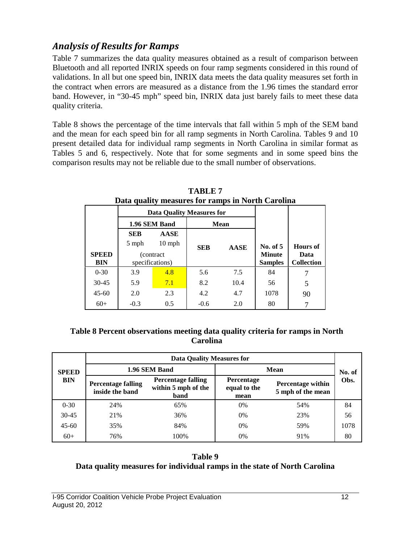## *Analysis of Results for Ramps*

Table 7 summarizes the data quality measures obtained as a result of comparison between Bluetooth and all reported INRIX speeds on four ramp segments considered in this round of validations. In all but one speed bin, INRIX data meets the data quality measures set forth in the contract when errors are measured as a distance from the 1.96 times the standard error band. However, in "30-45 mph" speed bin, INRIX data just barely fails to meet these data quality criteria.

Table 8 shows the percentage of the time intervals that fall within 5 mph of the SEM band and the mean for each speed bin for all ramp segments in North Carolina. Tables 9 and 10 present detailed data for individual ramp segments in North Carolina in similar format as Tables 5 and 6, respectively. Note that for some segments and in some speed bins the comparison results may not be reliable due to the small number of observations.

|              | <b>Data Quality Measures for</b> |               |            |             |                |                   |  |
|--------------|----------------------------------|---------------|------------|-------------|----------------|-------------------|--|
|              |                                  | 1.96 SEM Band |            | <b>Mean</b> |                |                   |  |
|              | <b>SEB</b>                       | <b>AASE</b>   |            |             |                |                   |  |
|              | 5 mph                            | $10$ mph      | <b>SEB</b> | <b>AASE</b> | No. of 5       | Hours of          |  |
| <b>SPEED</b> | (contract)                       |               |            |             | <b>Minute</b>  | Data              |  |
| <b>BIN</b>   | specifications)                  |               |            |             | <b>Samples</b> | <b>Collection</b> |  |
| $0 - 30$     | 3.9                              | 4.8           | 5.6        | 7.5         | 84             |                   |  |
| $30 - 45$    | 5.9                              | 7.1           | 8.2        | 10.4        | 56             | 5                 |  |
| $45 - 60$    | 2.0                              | 2.3           | 4.2        | 4.7         | 1078           | 90                |  |
| $60+$        | $-0.3$                           | 0.5           | $-0.6$     | 2.0         | 80             |                   |  |

**TABLE 7 Data quality measures for ramps in North Carolina**

#### **Table 8 Percent observations meeting data quality criteria for ramps in North Carolina**

| <b>SPEED</b><br><b>BIN</b> | <b>Data Quality Measures for</b>             |                                                          |                                           |                                               |      |  |  |  |
|----------------------------|----------------------------------------------|----------------------------------------------------------|-------------------------------------------|-----------------------------------------------|------|--|--|--|
|                            |                                              | 1.96 SEM Band                                            | <b>Mean</b>                               | No. of                                        |      |  |  |  |
|                            | <b>Percentage falling</b><br>inside the band | <b>Percentage falling</b><br>within 5 mph of the<br>band | <b>Percentage</b><br>equal to the<br>mean | <b>Percentage within</b><br>5 mph of the mean | Obs. |  |  |  |
| $0 - 30$                   | 24%                                          | 65%                                                      | 0%                                        | 54%                                           | 84   |  |  |  |
| $30 - 45$                  | 21%                                          | 36%                                                      | 0%                                        | 23%                                           | 56   |  |  |  |
| $45-60$                    | 35%                                          | 84%                                                      | $0\%$                                     | 59%                                           | 1078 |  |  |  |
| $60+$                      | 76%                                          | 100%                                                     | 0%                                        | 91%                                           | 80   |  |  |  |

#### **Table 9**

#### **Data quality measures for individual ramps in the state of North Carolina**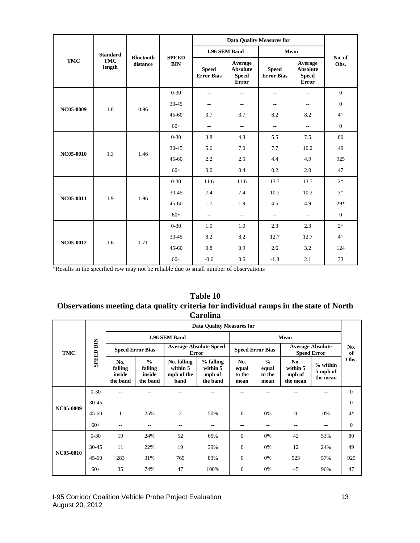|            |                      |                              |                            | <b>Data Quality Measures for</b>  |                                                            |                                   |                                                            |                |
|------------|----------------------|------------------------------|----------------------------|-----------------------------------|------------------------------------------------------------|-----------------------------------|------------------------------------------------------------|----------------|
| <b>TMC</b> | <b>Standard</b>      |                              | <b>SPEED</b><br><b>BIN</b> | 1.96 SEM Band                     |                                                            | Mean                              |                                                            |                |
|            | <b>TMC</b><br>length | <b>Bluetooth</b><br>distance |                            | <b>Speed</b><br><b>Error Bias</b> | Average<br><b>Absolute</b><br><b>Speed</b><br><b>Error</b> | <b>Speed</b><br><b>Error Bias</b> | Average<br><b>Absolute</b><br><b>Speed</b><br><b>Error</b> | No. of<br>Obs. |
|            |                      |                              | $0 - 30$                   | $\sim$                            | $\sim$ $\sim$                                              | $\sim$                            | $\overline{a}$                                             | $\mathbf{0}$   |
|            |                      | 0.96                         | 30-45                      | $\overline{\phantom{m}}$          | $\overline{\phantom{a}}$                                   | $-$                               | $\overline{\phantom{a}}$                                   | $\theta$       |
| NC05-0009  | 1.0                  |                              | $45 - 60$                  | 3.7                               | 3.7                                                        | 8.2                               | 8.2                                                        | $4*$           |
|            |                      |                              | $60+$                      | $\overline{a}$                    | $\overline{\phantom{m}}$                                   | $\overline{\phantom{a}}$          | $\overline{a}$                                             | $\mathbf{0}$   |
|            | 1.3                  | 1.46                         | $0 - 30$                   | 3.8                               | 4.8                                                        | 5.5                               | 7.5                                                        | 80             |
| NC05-0010  |                      |                              | 30-45                      | 5.6                               | 7.0                                                        | 7.7                               | 10.2                                                       | 49             |
|            |                      |                              | $45 - 60$                  | 2.2                               | 2.5                                                        | 4.4                               | 4.9                                                        | 925            |
|            |                      |                              | $60+$                      | 0.0                               | 0.4                                                        | 0.2                               | 2.0                                                        | 47             |
|            | 1.9                  | 1.96                         | $0 - 30$                   | 11.6                              | 11.6                                                       | 13.7                              | 13.7                                                       | $2*$           |
| NC05-0011  |                      |                              | 30-45                      | 7.4                               | 7.4                                                        | 10.2                              | 10.2                                                       | $3*$           |
|            |                      |                              | $45 - 60$                  | 1.7                               | 1.9                                                        | 4.5                               | 4.9                                                        | $29*$          |
|            |                      |                              | $60+$                      | $\overline{\phantom{m}}$          | $\overline{\phantom{a}}$                                   | $\overline{\phantom{a}}$          | $\overline{a}$                                             | $\mathbf{0}$   |
| NC05-0012  |                      |                              | $0 - 30$                   | 1.0                               | 1.0                                                        | 2.3                               | 2.3                                                        | $2*$           |
|            |                      |                              | 30-45                      | 8.2                               | 8.2                                                        | 12.7                              | 12.7                                                       | $4*$           |
|            | 1.6                  | 1.71                         | $45 - 60$                  | 0.8                               | 0.9                                                        | 2.6                               | 3.2                                                        | 124            |
|            |                      |                              | $60+$                      | $-0.6$                            | 0.6                                                        | $-1.8$                            | 2.1                                                        | 33             |

#### **Table 10 Observations meeting data quality criteria for individual ramps in the state of North Carolina**

| <b>TMC</b>       |                  | <b>Data Quality Measures for</b>     |                                                |                                               |                                               |                                |                                          |                                               |                                    |                |
|------------------|------------------|--------------------------------------|------------------------------------------------|-----------------------------------------------|-----------------------------------------------|--------------------------------|------------------------------------------|-----------------------------------------------|------------------------------------|----------------|
|                  |                  | 1.96 SEM Band                        |                                                |                                               |                                               |                                |                                          |                                               |                                    |                |
|                  | <b>SPEED BIN</b> | <b>Speed Error Bias</b>              |                                                | <b>Average Absolute Speed</b><br>Error        |                                               | <b>Speed Error Bias</b>        |                                          | <b>Average Absolute</b><br><b>Speed Error</b> |                                    | No.<br>of      |
|                  |                  | No.<br>falling<br>inside<br>the band | $\frac{0}{0}$<br>falling<br>inside<br>the band | No. falling<br>within 5<br>mph of the<br>band | $%$ falling<br>within 5<br>mph of<br>the band | No.<br>equal<br>to the<br>mean | $\frac{0}{0}$<br>equal<br>to the<br>mean | No.<br>within 5<br>mph of<br>the mean         | $%$ within<br>5 mph of<br>the mean | Obs.           |
|                  | $0 - 30$         | --                                   |                                                |                                               |                                               |                                |                                          |                                               | --                                 | $\Omega$       |
|                  | 30-45            | $- -$                                | --                                             | --                                            | $- -$                                         |                                |                                          |                                               | --                                 | $\theta$       |
| NC05-0009        | $45 - 60$        | 1                                    | 25%                                            | $\overline{c}$                                | 50%                                           | $\mathbf{0}$                   | 0%                                       | $\Omega$                                      | 0%                                 | $4*$           |
|                  | $60+$            | $- -$                                | $- -$                                          | --                                            | $- -$                                         | --                             | $- -$                                    | $-$                                           | --                                 | $\overline{0}$ |
| <b>NC05-0010</b> | $0 - 30$         | 19                                   | 24%                                            | 52                                            | 65%                                           | $\Omega$                       | 0%                                       | 42                                            | 53%                                | 80             |
|                  | $30 - 45$        | 11                                   | 22%                                            | 19                                            | 39%                                           | $\mathbf{0}$                   | 0%                                       | 12                                            | 24%                                | 49             |
|                  | $45 - 60$        | 283                                  | 31%                                            | 765                                           | 83%                                           | $\mathbf{0}$                   | 0%                                       | 523                                           | 57%                                | 925            |
|                  | $60+$            | 35                                   | 74%                                            | 47                                            | 100%                                          | $\mathbf{0}$                   | 0%                                       | 45                                            | 96%                                | 47             |